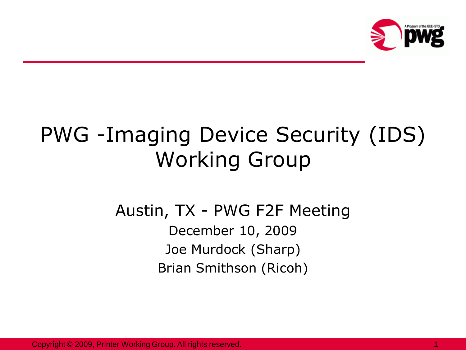

# PWG -Imaging Device Security (IDS) Working Group

#### Austin, TX - PWG F2F Meeting December 10, 2009 Joe Murdock (Sharp) Brian Smithson (Ricoh)

Copyright © 2009, Printer Working Group. All rights reserved. 1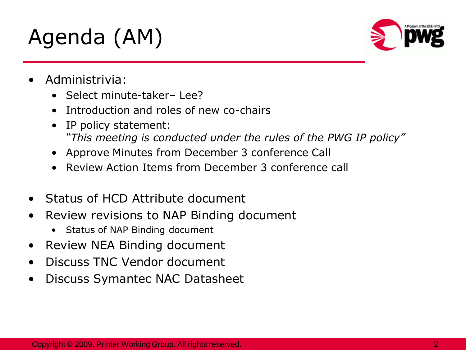# Agenda (AM)



- Administrivia:
	- Select minute-taker– Lee?
	- Introduction and roles of new co-chairs
	- IP policy statement: *"This meeting is conducted under the rules of the PWG IP policy"*
	- Approve Minutes from December 3 conference Call
	- Review Action Items from December 3 conference call
- Status of HCD Attribute document
- Review revisions to NAP Binding document
	- Status of NAP Binding document
- Review NEA Binding document
- Discuss TNC Vendor document
- Discuss Symantec NAC Datasheet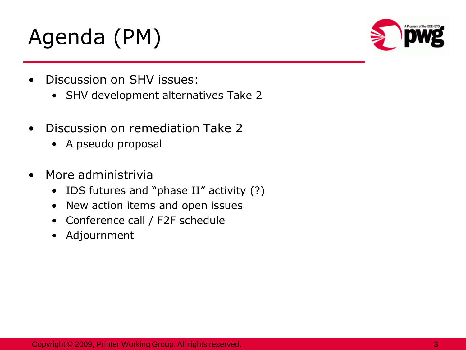# Agenda (PM)



- Discussion on SHV issues:
	- SHV development alternatives Take 2
- Discussion on remediation Take 2
	- A pseudo proposal
- More administrivia
	- IDS futures and "phase II" activity (?)
	- New action items and open issues
	- Conference call / F2F schedule
	- Adjournment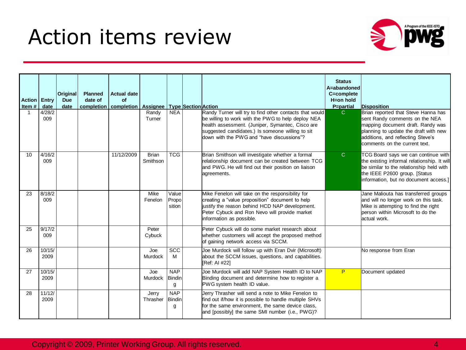#### Action items review



| <b>Action   Entry</b><br>Item# | date           | <b>Original</b><br><b>Due</b><br>date | <b>Planned</b><br>date of | <b>Actual date</b><br>Οf<br>completion   completion   Assignee |                          |                                  | <b>Type Section Action</b> |                                                                                                                                                                                                                                                                    | <b>Status</b><br>A=abandoned<br>C=complete<br>H=on hold<br>P=partial | Disposition                                                                                                                                                                                                               |
|--------------------------------|----------------|---------------------------------------|---------------------------|----------------------------------------------------------------|--------------------------|----------------------------------|----------------------------|--------------------------------------------------------------------------------------------------------------------------------------------------------------------------------------------------------------------------------------------------------------------|----------------------------------------------------------------------|---------------------------------------------------------------------------------------------------------------------------------------------------------------------------------------------------------------------------|
|                                | 4/28/2<br>009  |                                       |                           |                                                                | Randy<br>Turner          | <b>NEA</b>                       |                            | Randy Turner will try to find other contacts that would<br>be willing to work with the PWG to help deploy NEA<br>health assessment. (Juniper, Symantec, Cisco are<br>suggested candidates.) Is someone willing to sit<br>down with the PWG and "have discussions"? | $\mathbf{C}$                                                         | Brian reported that Steve Hanna has<br>sent Randy comments on the NEA<br>mapping document draft. Randy was<br>planning to update the draft with new<br>additions, and reflecting Steve's<br>comments on the current text. |
| 10                             | 4/16/2<br>009  |                                       |                           | 11/12/2009                                                     | <b>Brian</b><br>Smithson | <b>TCG</b>                       |                            | Brian Smithson will investigate whether a formal<br>relationship document can be created between TCG<br>and PWG. He will find out their position on liaison<br>agreements.                                                                                         | $\mathsf{C}$                                                         | TCG Board says we can continue with<br>the existing informal relationship. It will<br>be similar to the relationship held with<br>the IEEE P2600 group. [Status<br>information, but no document access.]                  |
| 23                             | 8/18/2<br>009  |                                       |                           |                                                                | Mike<br>Fenelon          | Value<br>Propo<br>sition         |                            | Mike Fenelon will take on the responsibility for<br>creating a "value proposition" document to help<br>justify the reason behind HCD NAP development.<br>Peter Cybuck and Ron Nevo will provide market<br>information as possible.                                 |                                                                      | Jane Maliouta has transferred groups<br>and will no longer work on this task.<br>Mike is attempting to find the right<br>berson within Microsoft to do the<br>actual work.                                                |
| 25                             | 9/17/2<br>009  |                                       |                           |                                                                | Peter<br>Cybuck          |                                  |                            | Peter Cybuck will do some market research about<br>whether customers will accept the proposed method<br>of gaining network access via SCCM.                                                                                                                        |                                                                      |                                                                                                                                                                                                                           |
| 26                             | 10/15/<br>2009 |                                       |                           |                                                                | Joe<br>Murdock           | <b>SCC</b><br>M                  |                            | Joe Murdock will follow up with Eran Dvir (Microsoft)<br>about the SCCM issues, questions, and capabilities.<br><b>IRef: AI #221</b>                                                                                                                               |                                                                      | No response from Eran                                                                                                                                                                                                     |
| 27                             | 10/15/<br>2009 |                                       |                           |                                                                | Joe<br>Murdock           | <b>NAP</b><br><b>Bindin</b><br>g |                            | Joe Murdock will add NAP System Health ID to NAP<br>Binding document and determine how to register a<br>PWG system health ID value.                                                                                                                                | P                                                                    | Document updated                                                                                                                                                                                                          |
| 28                             | 11/12/<br>2009 |                                       |                           |                                                                | Jerry<br>Thrasher        | <b>NAP</b><br>Bindin<br>g        |                            | Jerry Thrasher will send a note to Mike Fenelon to<br>find out if/how it is possible to handle multiple SHVs<br>for the same environment, the same device class.<br>and [possibly] the same SMI number (i.e., PWG)?                                                |                                                                      |                                                                                                                                                                                                                           |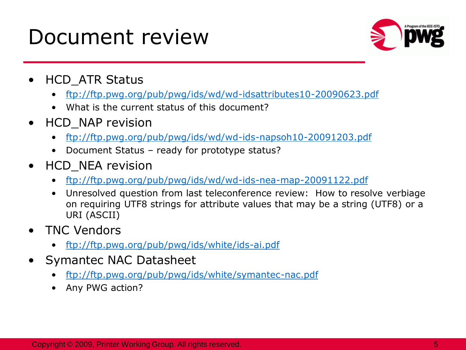### Document review



- HCD\_ATR Status
	- <ftp://ftp.pwg.org/pub/pwg/ids/wd/wd-idsattributes10-20090623.pdf>
	- What is the current status of this document?
- HCD\_NAP revision
	- <ftp://ftp.pwg.org/pub/pwg/ids/wd/wd-ids-napsoh10-20091203.pdf>
	- Document Status ready for prototype status?
- HCD\_NEA revision
	- <ftp://ftp.pwg.org/pub/pwg/ids/wd/wd-ids-nea-map-20091122.pdf>
	- Unresolved question from last teleconference review: How to resolve verbiage on requiring UTF8 strings for attribute values that may be a string (UTF8) or a URI (ASCII)
- TNC Vendors
	- <ftp://ftp.pwg.org/pub/pwg/ids/white/ids-ai.pdf>
- Symantec NAC Datasheet
	- <ftp://ftp.pwg.org/pub/pwg/ids/white/symantec-nac.pdf>
	- Any PWG action?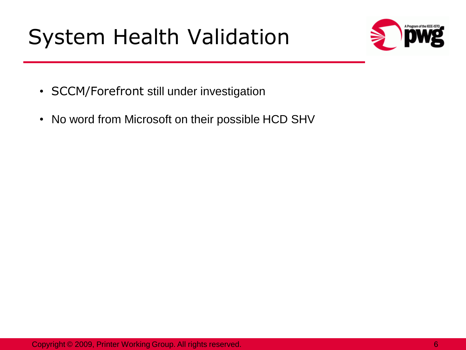# System Health Validation



- SCCM/Forefront still under investigation
- No word from Microsoft on their possible HCD SHV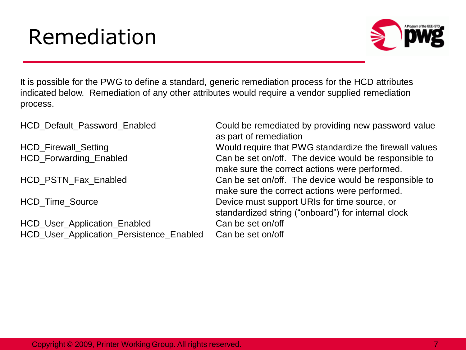## Remediation



It is possible for the PWG to define a standard, generic remediation process for the HCD attributes indicated below. Remediation of any other attributes would require a vendor supplied remediation process.

HCD\_Default\_Password\_Enabled Could be remediated by providing new password value as part of remediation HCD Firewall Setting **EXECUTE:** Would require that PWG standardize the firewall values HCD Forwarding Enabled **Can be set on/off.** The device would be responsible to make sure the correct actions were performed. HCD PSTN Fax Enabled **Can be set on/off.** The device would be responsible to make sure the correct actions were performed. HCD\_Time\_Source Device must support URIs for time source, or standardized string ("onboard") for internal clock HCD User Application Enabled Can be set on/off HCD User Application Persistence Enabled Can be set on/off